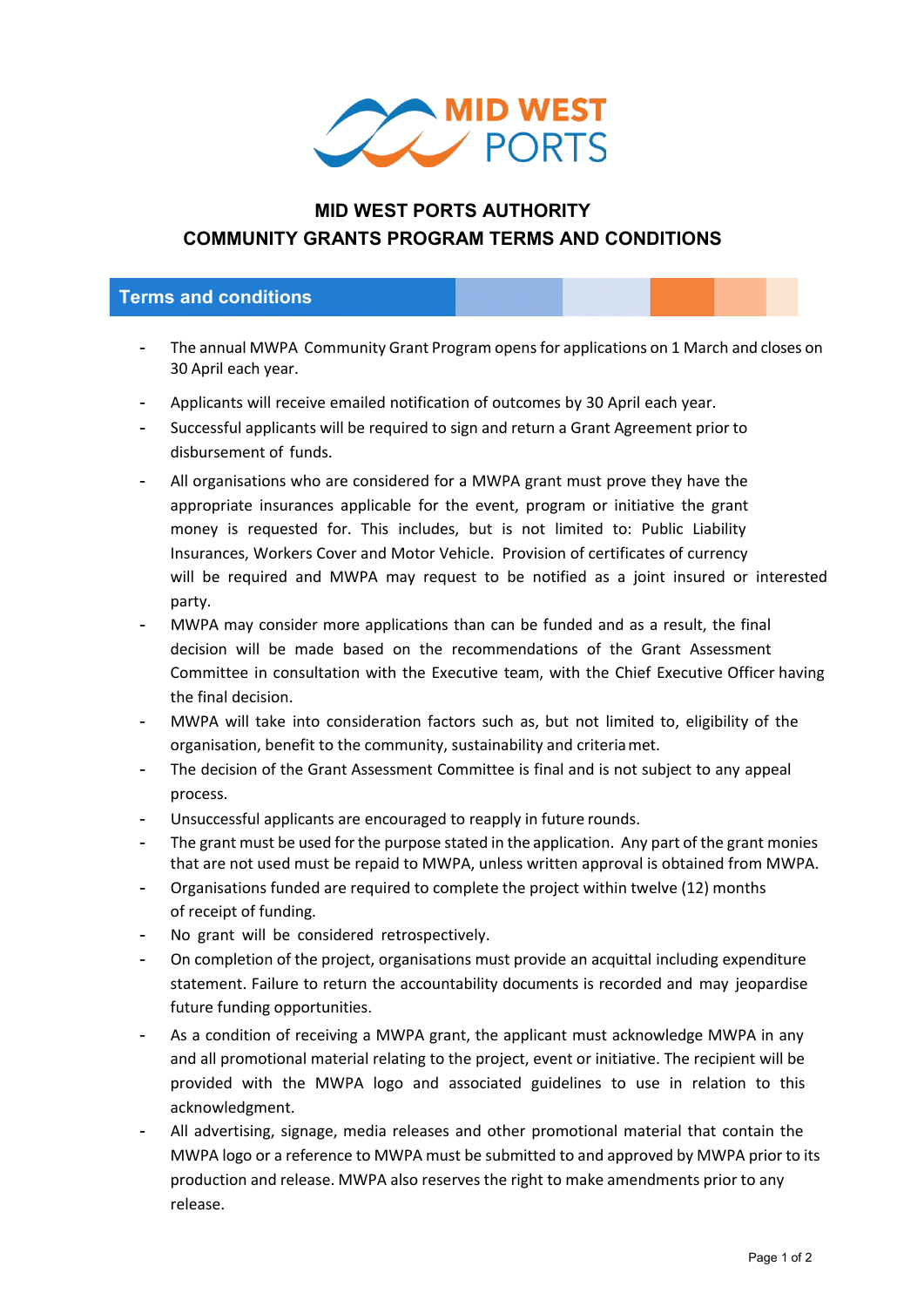

## **MID WEST PORTS AUTHORITY COMMUNITY GRANTS PROGRAM TERMS AND CONDITIONS**

## **Terms and conditions**

- The annual MWPA Community Grant Program opens for applications on 1 March and closes on 30 April each year.
- Applicants will receive emailed notification of outcomes by 30 April each year.
- Successful applicants will be required to sign and return a Grant Agreement prior to disbursement of funds.
- All organisations who are considered for a MWPA grant must prove they have the appropriate insurances applicable for the event, program or initiative the grant money is requested for. This includes, but is not limited to: Public Liability Insurances, Workers Cover and Motor Vehicle. Provision of certificates of currency will be required and MWPA may request to be notified as a joint insured or interested party.
- MWPA may consider more applications than can be funded and as a result, the final decision will be made based on the recommendations of the Grant Assessment Committee in consultation with the Executive team, with the Chief Executive Officer having the final decision.
- MWPA will take into consideration factors such as, but not limited to, eligibility of the organisation, benefit to the community, sustainability and criteriamet.
- The decision of the Grant Assessment Committee is final and is not subject to any appeal process.
- Unsuccessful applicants are encouraged to reapply in future rounds.
- The grant must be used for the purpose stated in the application. Any part of the grant monies that are not used must be repaid to MWPA, unless written approval is obtained from MWPA.
- Organisations funded are required to complete the project within twelve (12) months of receipt of funding.
- No grant will be considered retrospectively.
- On completion of the project, organisations must provide an acquittal including expenditure statement. Failure to return the accountability documents is recorded and may jeopardise future funding opportunities.
- As a condition of receiving a MWPA grant, the applicant must acknowledge MWPA in any and all promotional material relating to the project, event or initiative. The recipient will be provided with the MWPA logo and associated guidelines to use in relation to this acknowledgment.
- All advertising, signage, media releases and other promotional material that contain the MWPA logo or a reference to MWPA must be submitted to and approved by MWPA prior to its production and release. MWPA also reserves the right to make amendments prior to any release.